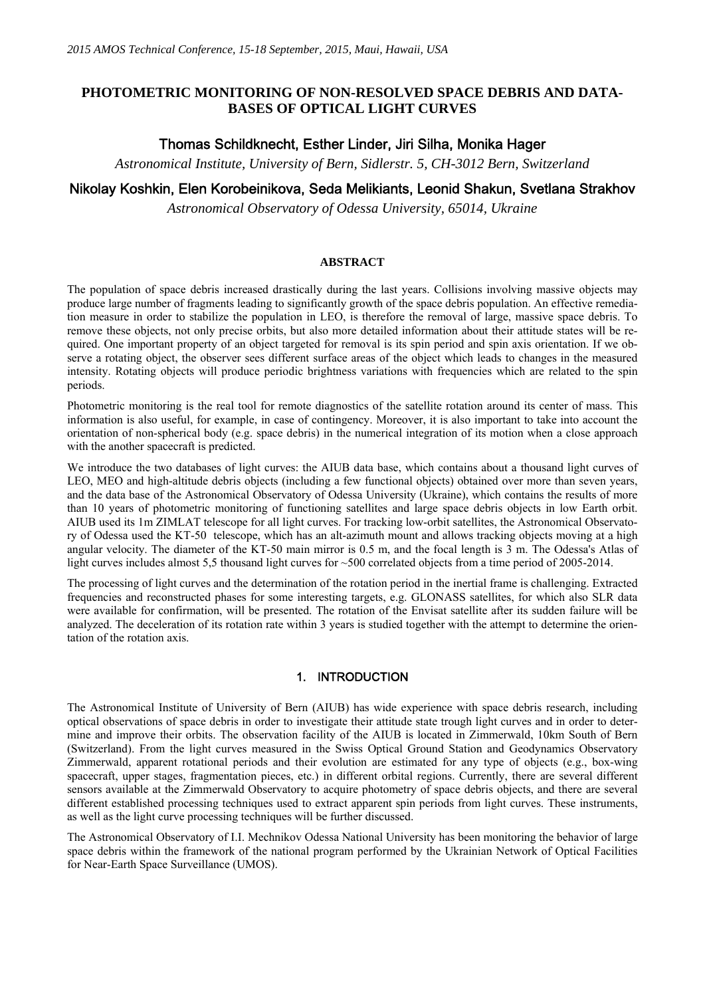# **PHOTOMETRIC MONITORING OF NON-RESOLVED SPACE DEBRIS AND DATA-BASES OF OPTICAL LIGHT CURVES**

# Thomas Schildknecht, Esther Linder, Jiri Silha, Monika Hager

*Astronomical Institute, University of Bern, Sidlerstr. 5, CH-3012 Bern, Switzerland* 

## Nikolay Koshkin, Elen Korobeinikova, Seda Melikiants, Leonid Shakun, Svetlana Strakhov

*Astronomical Observatory of Odessa University, 65014, Ukraine* 

#### **ABSTRACT**

The population of space debris increased drastically during the last years. Collisions involving massive objects may produce large number of fragments leading to significantly growth of the space debris population. An effective remediation measure in order to stabilize the population in LEO, is therefore the removal of large, massive space debris. To remove these objects, not only precise orbits, but also more detailed information about their attitude states will be required. One important property of an object targeted for removal is its spin period and spin axis orientation. If we observe a rotating object, the observer sees different surface areas of the object which leads to changes in the measured intensity. Rotating objects will produce periodic brightness variations with frequencies which are related to the spin periods.

Photometric monitoring is the real tool for remote diagnostics of the satellite rotation around its center of mass. This information is also useful, for example, in case of contingency. Moreover, it is also important to take into account the orientation of non-spherical body (e.g. space debris) in the numerical integration of its motion when a close approach with the another spacecraft is predicted.

We introduce the two databases of light curves: the AIUB data base, which contains about a thousand light curves of LEO, MEO and high-altitude debris objects (including a few functional objects) obtained over more than seven years, and the data base of the Astronomical Observatory of Odessa University (Ukraine), which contains the results of more than 10 years of photometric monitoring of functioning satellites and large space debris objects in low Earth orbit. AIUB used its 1m ZIMLAT telescope for all light curves. For tracking low-orbit satellites, the Astronomical Observatory of Odessa used the KT-50 telescope, which has an alt-azimuth mount and allows tracking objects moving at a high angular velocity. The diameter of the KT-50 main mirror is 0.5 m, and the focal length is 3 m. The Odessa's Atlas of light curves includes almost 5,5 thousand light curves for ~500 correlated objects from a time period of 2005-2014.

The processing of light curves and the determination of the rotation period in the inertial frame is challenging. Extracted frequencies and reconstructed phases for some interesting targets, e.g. GLONASS satellites, for which also SLR data were available for confirmation, will be presented. The rotation of the Envisat satellite after its sudden failure will be analyzed. The deceleration of its rotation rate within 3 years is studied together with the attempt to determine the orientation of the rotation axis.

### 1. INTRODUCTION

The Astronomical Institute of University of Bern (AIUB) has wide experience with space debris research, including optical observations of space debris in order to investigate their attitude state trough light curves and in order to determine and improve their orbits. The observation facility of the AIUB is located in Zimmerwald, 10km South of Bern (Switzerland). From the light curves measured in the Swiss Optical Ground Station and Geodynamics Observatory Zimmerwald, apparent rotational periods and their evolution are estimated for any type of objects (e.g., box-wing spacecraft, upper stages, fragmentation pieces, etc.) in different orbital regions. Currently, there are several different sensors available at the Zimmerwald Observatory to acquire photometry of space debris objects, and there are several different established processing techniques used to extract apparent spin periods from light curves. These instruments, as well as the light curve processing techniques will be further discussed.

The Astronomical Observatory of I.I. Mechnikov Odessa National University has been monitoring the behavior of large space debris within the framework of the national program performed by the Ukrainian Network of Optical Facilities for Near-Earth Space Surveillance (UMOS).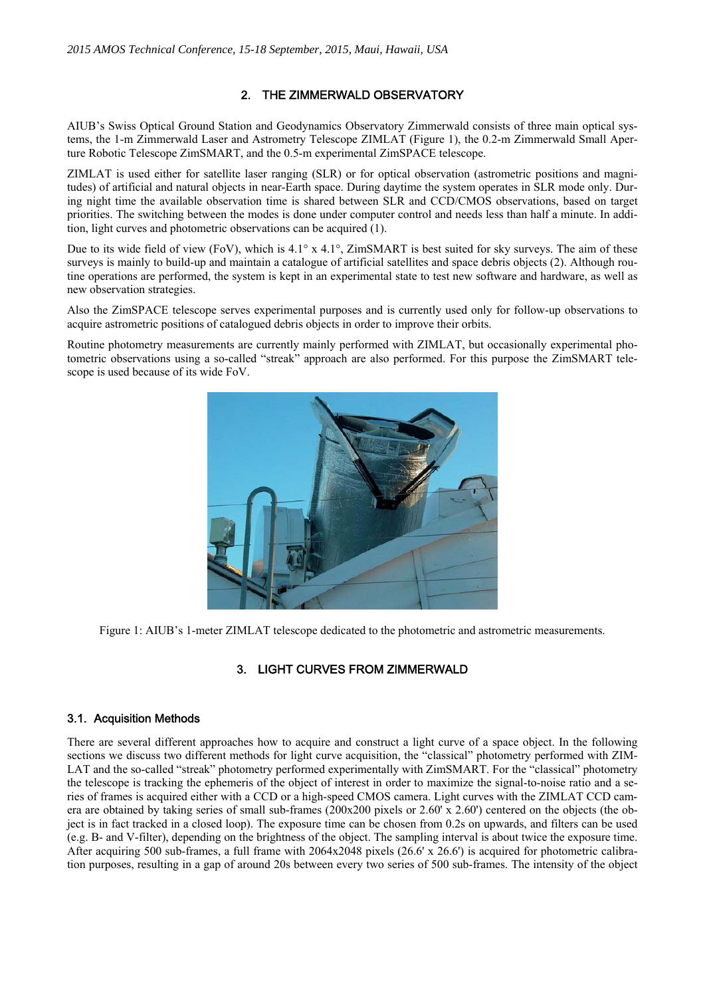## 2. THE ZIMMERWALD OBSERVATORY

AIUB's Swiss Optical Ground Station and Geodynamics Observatory Zimmerwald consists of three main optical systems, the 1-m Zimmerwald Laser and Astrometry Telescope ZIMLAT (Figure 1), the 0.2-m Zimmerwald Small Aperture Robotic Telescope ZimSMART, and the 0.5-m experimental ZimSPACE telescope.

ZIMLAT is used either for satellite laser ranging (SLR) or for optical observation (astrometric positions and magnitudes) of artificial and natural objects in near-Earth space. During daytime the system operates in SLR mode only. During night time the available observation time is shared between SLR and CCD/CMOS observations, based on target priorities. The switching between the modes is done under computer control and needs less than half a minute. In addition, light curves and photometric observations can be acquired (1).

Due to its wide field of view (FoV), which is  $4.1^\circ$  x  $4.1^\circ$ , ZimSMART is best suited for sky surveys. The aim of these surveys is mainly to build-up and maintain a catalogue of artificial satellites and space debris objects (2). Although routine operations are performed, the system is kept in an experimental state to test new software and hardware, as well as new observation strategies.

Also the ZimSPACE telescope serves experimental purposes and is currently used only for follow-up observations to acquire astrometric positions of catalogued debris objects in order to improve their orbits.

Routine photometry measurements are currently mainly performed with ZIMLAT, but occasionally experimental photometric observations using a so-called "streak" approach are also performed. For this purpose the ZimSMART telescope is used because of its wide FoV.



Figure 1: AIUB's 1-meter ZIMLAT telescope dedicated to the photometric and astrometric measurements.

## 3. LIGHT CURVES FROM ZIMMERWALD

### 3.1. Acquisition Methods

There are several different approaches how to acquire and construct a light curve of a space object. In the following sections we discuss two different methods for light curve acquisition, the "classical" photometry performed with ZIM-LAT and the so-called "streak" photometry performed experimentally with ZimSMART. For the "classical" photometry the telescope is tracking the ephemeris of the object of interest in order to maximize the signal-to-noise ratio and a series of frames is acquired either with a CCD or a high-speed CMOS camera. Light curves with the ZIMLAT CCD camera are obtained by taking series of small sub-frames (200x200 pixels or 2.60' x 2.60') centered on the objects (the object is in fact tracked in a closed loop). The exposure time can be chosen from 0.2s on upwards, and filters can be used (e.g. B- and V-filter), depending on the brightness of the object. The sampling interval is about twice the exposure time. After acquiring 500 sub-frames, a full frame with  $2064x2048$  pixels (26.6' x 26.6') is acquired for photometric calibration purposes, resulting in a gap of around 20s between every two series of 500 sub-frames. The intensity of the object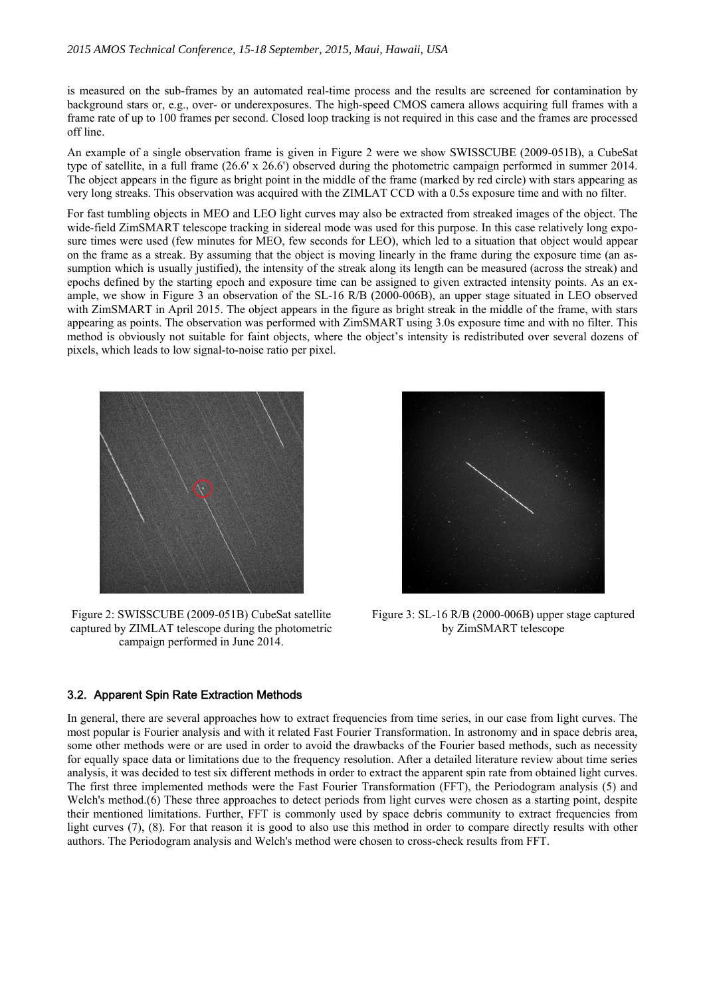is measured on the sub-frames by an automated real-time process and the results are screened for contamination by background stars or, e.g., over- or underexposures. The high-speed CMOS camera allows acquiring full frames with a frame rate of up to 100 frames per second. Closed loop tracking is not required in this case and the frames are processed off line.

An example of a single observation frame is given in Figure 2 were we show SWISSCUBE (2009-051B), a CubeSat type of satellite, in a full frame (26.6' x 26.6') observed during the photometric campaign performed in summer 2014. The object appears in the figure as bright point in the middle of the frame (marked by red circle) with stars appearing as very long streaks. This observation was acquired with the ZIMLAT CCD with a 0.5s exposure time and with no filter.

For fast tumbling objects in MEO and LEO light curves may also be extracted from streaked images of the object. The wide-field ZimSMART telescope tracking in sidereal mode was used for this purpose. In this case relatively long exposure times were used (few minutes for MEO, few seconds for LEO), which led to a situation that object would appear on the frame as a streak. By assuming that the object is moving linearly in the frame during the exposure time (an assumption which is usually justified), the intensity of the streak along its length can be measured (across the streak) and epochs defined by the starting epoch and exposure time can be assigned to given extracted intensity points. As an example, we show in Figure 3 an observation of the SL-16 R/B (2000-006B), an upper stage situated in LEO observed with ZimSMART in April 2015. The object appears in the figure as bright streak in the middle of the frame, with stars appearing as points. The observation was performed with ZimSMART using 3.0s exposure time and with no filter. This method is obviously not suitable for faint objects, where the object's intensity is redistributed over several dozens of pixels, which leads to low signal-to-noise ratio per pixel.



Figure 2: SWISSCUBE (2009-051B) CubeSat satellite captured by ZIMLAT telescope during the photometric campaign performed in June 2014.



Figure 3: SL-16 R/B (2000-006B) upper stage captured by ZimSMART telescope

### 3.2. Apparent Spin Rate Extraction Methods

In general, there are several approaches how to extract frequencies from time series, in our case from light curves. The most popular is Fourier analysis and with it related Fast Fourier Transformation. In astronomy and in space debris area, some other methods were or are used in order to avoid the drawbacks of the Fourier based methods, such as necessity for equally space data or limitations due to the frequency resolution. After a detailed literature review about time series analysis, it was decided to test six different methods in order to extract the apparent spin rate from obtained light curves. The first three implemented methods were the Fast Fourier Transformation (FFT), the Periodogram analysis (5) and Welch's method.(6) These three approaches to detect periods from light curves were chosen as a starting point, despite their mentioned limitations. Further, FFT is commonly used by space debris community to extract frequencies from light curves (7), (8). For that reason it is good to also use this method in order to compare directly results with other authors. The Periodogram analysis and Welch's method were chosen to cross-check results from FFT.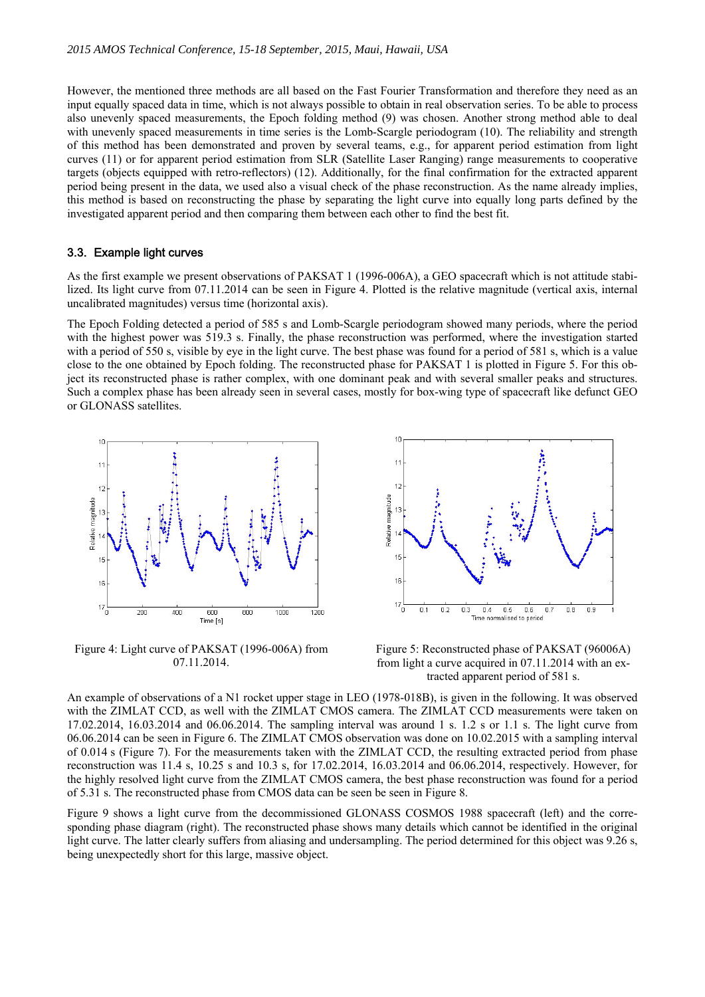However, the mentioned three methods are all based on the Fast Fourier Transformation and therefore they need as an input equally spaced data in time, which is not always possible to obtain in real observation series. To be able to process also unevenly spaced measurements, the Epoch folding method (9) was chosen. Another strong method able to deal with unevenly spaced measurements in time series is the Lomb-Scargle periodogram (10). The reliability and strength of this method has been demonstrated and proven by several teams, e.g., for apparent period estimation from light curves (11) or for apparent period estimation from SLR (Satellite Laser Ranging) range measurements to cooperative targets (objects equipped with retro-reflectors) (12). Additionally, for the final confirmation for the extracted apparent period being present in the data, we used also a visual check of the phase reconstruction. As the name already implies, this method is based on reconstructing the phase by separating the light curve into equally long parts defined by the investigated apparent period and then comparing them between each other to find the best fit.

#### 3.3. Example light curves

As the first example we present observations of PAKSAT 1 (1996-006A), a GEO spacecraft which is not attitude stabilized. Its light curve from 07.11.2014 can be seen in Figure 4. Plotted is the relative magnitude (vertical axis, internal uncalibrated magnitudes) versus time (horizontal axis).

The Epoch Folding detected a period of 585 s and Lomb-Scargle periodogram showed many periods, where the period with the highest power was 519.3 s. Finally, the phase reconstruction was performed, where the investigation started with a period of 550 s, visible by eye in the light curve. The best phase was found for a period of 581 s, which is a value close to the one obtained by Epoch folding. The reconstructed phase for PAKSAT 1 is plotted in Figure 5. For this object its reconstructed phase is rather complex, with one dominant peak and with several smaller peaks and structures. Such a complex phase has been already seen in several cases, mostly for box-wing type of spacecraft like defunct GEO or GLONASS satellites.



Figure 4: Light curve of PAKSAT (1996-006A) from 07.11.2014.



Figure 5: Reconstructed phase of PAKSAT (96006A) from light a curve acquired in 07.11.2014 with an extracted apparent period of 581 s.

An example of observations of a N1 rocket upper stage in LEO (1978-018B), is given in the following. It was observed with the ZIMLAT CCD, as well with the ZIMLAT CMOS camera. The ZIMLAT CCD measurements were taken on 17.02.2014, 16.03.2014 and 06.06.2014. The sampling interval was around 1 s. 1.2 s or 1.1 s. The light curve from 06.06.2014 can be seen in Figure 6. The ZIMLAT CMOS observation was done on 10.02.2015 with a sampling interval of 0.014 s (Figure 7). For the measurements taken with the ZIMLAT CCD, the resulting extracted period from phase reconstruction was 11.4 s, 10.25 s and 10.3 s, for 17.02.2014, 16.03.2014 and 06.06.2014, respectively. However, for the highly resolved light curve from the ZIMLAT CMOS camera, the best phase reconstruction was found for a period of 5.31 s. The reconstructed phase from CMOS data can be seen be seen in Figure 8.

Figure 9 shows a light curve from the decommissioned GLONASS COSMOS 1988 spacecraft (left) and the corresponding phase diagram (right). The reconstructed phase shows many details which cannot be identified in the original light curve. The latter clearly suffers from aliasing and undersampling. The period determined for this object was 9.26 s, being unexpectedly short for this large, massive object.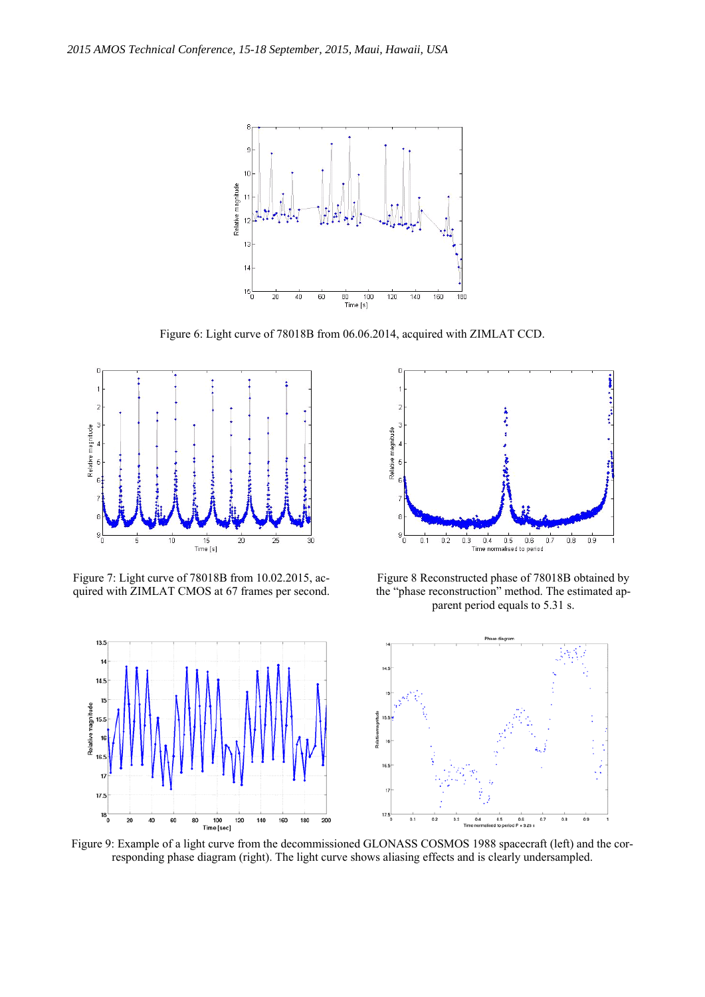

Figure 6: Light curve of 78018B from 06.06.2014, acquired with ZIMLAT CCD.



Figure 7: Light curve of 78018B from 10.02.2015, acquired with ZIMLAT CMOS at 67 frames per second.



Figure 8 Reconstructed phase of 78018B obtained by the "phase reconstruction" method. The estimated apparent period equals to 5.31 s.



Figure 9: Example of a light curve from the decommissioned GLONASS COSMOS 1988 spacecraft (left) and the corresponding phase diagram (right). The light curve shows aliasing effects and is clearly undersampled.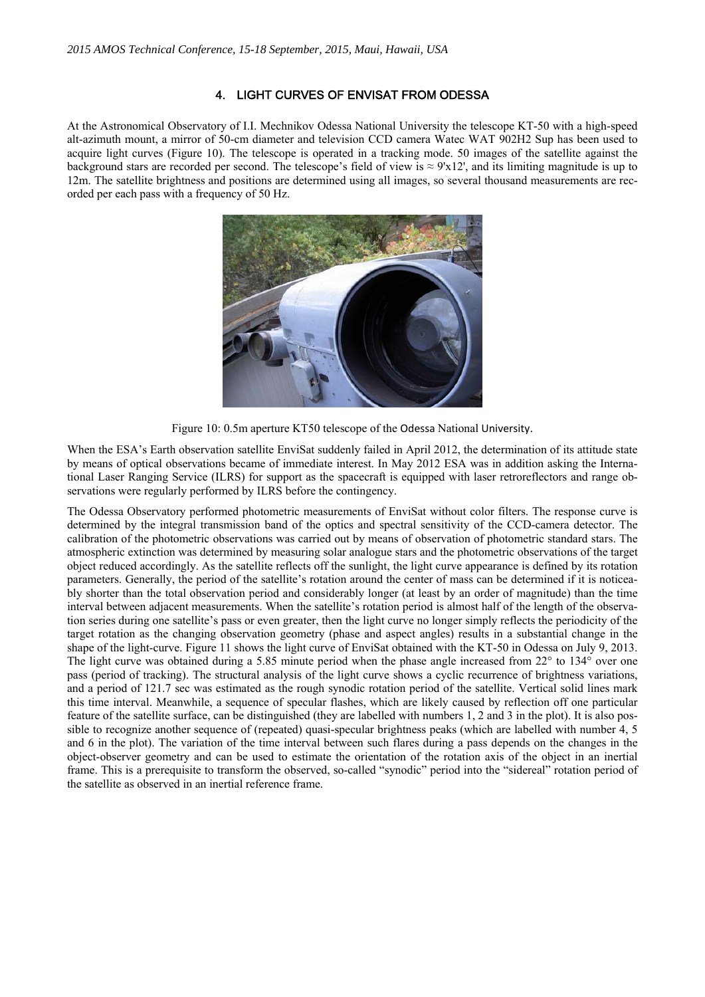## 4. LIGHT CURVES OF ENVISAT FROM ODESSA

At the Astronomical Observatory of I.I. Mechnikov Odessa National University the telescope KT-50 with a high-speed alt-azimuth mount, a mirror of 50-cm diameter and television CCD camera Watec WAT 902H2 Sup has been used to acquire light curves (Figure 10). The telescope is operated in a tracking mode. 50 images of the satellite against the background stars are recorded per second. The telescope's field of view is  $\approx 9'x12'$ , and its limiting magnitude is up to 12m. The satellite brightness and positions are determined using all images, so several thousand measurements are recorded per each pass with a frequency of 50 Hz.



Figure 10: 0.5m aperture KT50 telescope of the Odessa National University.

When the ESA's Earth observation satellite EnviSat suddenly failed in April 2012, the determination of its attitude state by means of optical observations became of immediate interest. In May 2012 ESA was in addition asking the International Laser Ranging Service (ILRS) for support as the spacecraft is equipped with laser retroreflectors and range observations were regularly performed by ILRS before the contingency.

The Odessa Observatory performed photometric measurements of EnviSat without color filters. The response curve is determined by the integral transmission band of the optics and spectral sensitivity of the CCD-camera detector. The calibration of the photometric observations was carried out by means of observation of photometric standard stars. The atmospheric extinction was determined by measuring solar analogue stars and the photometric observations of the target object reduced accordingly. As the satellite reflects off the sunlight, the light curve appearance is defined by its rotation parameters. Generally, the period of the satellite's rotation around the center of mass can be determined if it is noticeably shorter than the total observation period and considerably longer (at least by an order of magnitude) than the time interval between adjacent measurements. When the satellite's rotation period is almost half of the length of the observation series during one satellite's pass or even greater, then the light curve no longer simply reflects the periodicity of the target rotation as the changing observation geometry (phase and aspect angles) results in a substantial change in the shape of the light-curve. Figure 11 shows the light curve of EnviSat obtained with the KT-50 in Odessa on July 9, 2013. The light curve was obtained during a 5.85 minute period when the phase angle increased from 22° to 134° over one pass (period of tracking). The structural analysis of the light curve shows a cyclic recurrence of brightness variations, and a period of 121.7 sec was estimated as the rough synodic rotation period of the satellite. Vertical solid lines mark this time interval. Meanwhile, a sequence of specular flashes, which are likely caused by reflection off one particular feature of the satellite surface, can be distinguished (they are labelled with numbers 1, 2 and 3 in the plot). It is also possible to recognize another sequence of (repeated) quasi-specular brightness peaks (which are labelled with number 4, 5 and 6 in the plot). The variation of the time interval between such flares during a pass depends on the changes in the object-observer geometry and can be used to estimate the orientation of the rotation axis of the object in an inertial frame. This is a prerequisite to transform the observed, so-called "synodic" period into the "sidereal" rotation period of the satellite as observed in an inertial reference frame.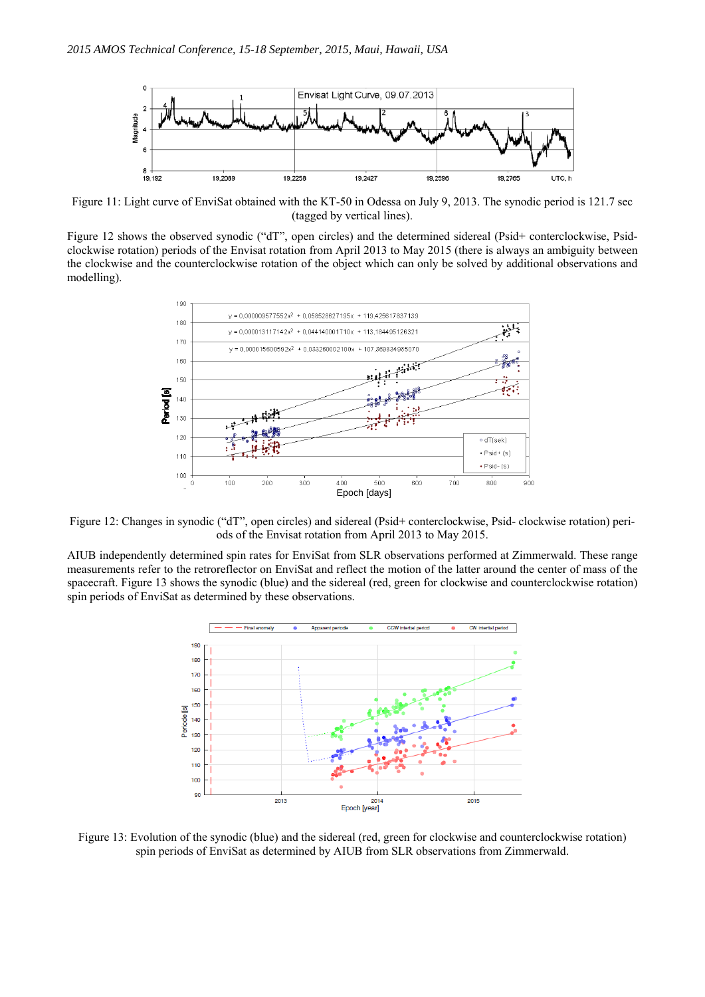

Figure 11: Light curve of EnviSat obtained with the KT-50 in Odessa on July 9, 2013. The synodic period is 121.7 sec (tagged by vertical lines).

Figure 12 shows the observed synodic ("dT", open circles) and the determined sidereal (Psid+ conterclockwise, Psidclockwise rotation) periods of the Envisat rotation from April 2013 to May 2015 (there is always an ambiguity between the clockwise and the counterclockwise rotation of the object which can only be solved by additional observations and modelling).



Figure 12: Changes in synodic ("dT", open circles) and sidereal (Psid+ conterclockwise, Psid- clockwise rotation) periods of the Envisat rotation from April 2013 to May 2015.

AIUB independently determined spin rates for EnviSat from SLR observations performed at Zimmerwald. These range measurements refer to the retroreflector on EnviSat and reflect the motion of the latter around the center of mass of the spacecraft. Figure 13 shows the synodic (blue) and the sidereal (red, green for clockwise and counterclockwise rotation) spin periods of EnviSat as determined by these observations.



Figure 13: Evolution of the synodic (blue) and the sidereal (red, green for clockwise and counterclockwise rotation) spin periods of EnviSat as determined by AIUB from SLR observations from Zimmerwald.